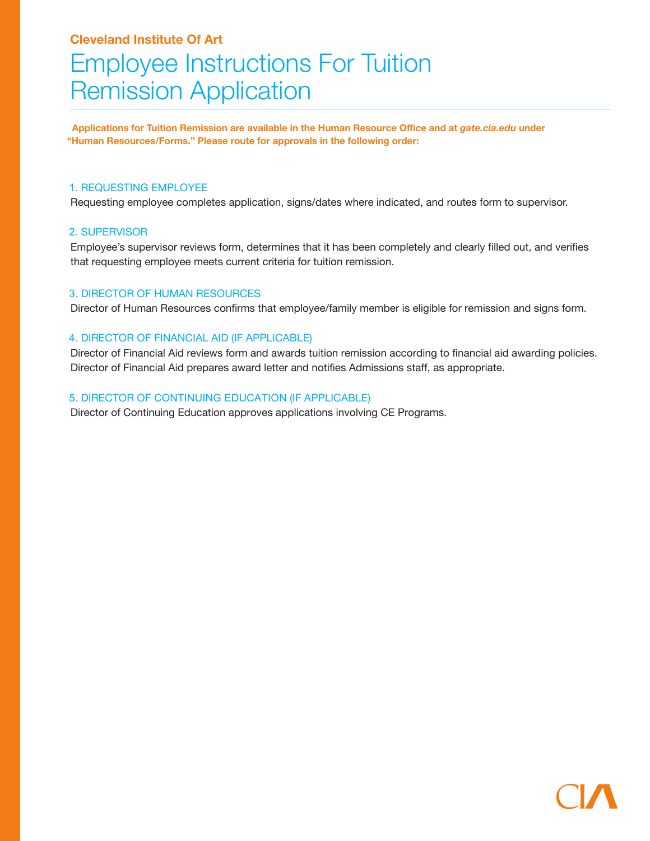# **Cleveland Institute Of Art** Employee Instructions For Tuition Remission Application

**Applications for Tuition Remission are available in the Human Resource Office and at** *gate.cia.edu* **under "Human Resources/Forms." Please route for approvals in the following order:**

#### 1. REQUESTING EMPLOYEE

Requesting employee completes application, signs/dates where indicated, and routes form to supervisor.

#### 2. SUPERVISOR

Employee's supervisor reviews form, determines that it has been completely and clearly filled out, and verifies that requesting employee meets current criteria for tuition remission.

### 3. DIRECTOR OF HUMAN RESOURCES

Director of Human Resources confirms that employee/family member is eligible for remission and signs form.

#### 4. DIRECTOR OF FINANCIAL AID (IF APPLICABLE)

Director of Financial Aid reviews form and awards tuition remission according to financial aid awarding policies. Director of Financial Aid prepares award letter and notifies Admissions staff, as appropriate.

## 5. DIRECTOR OF CONTINUING EDUCATION (IF APPLICABLE)

Director of Continuing Education approves applications involving CE Programs.